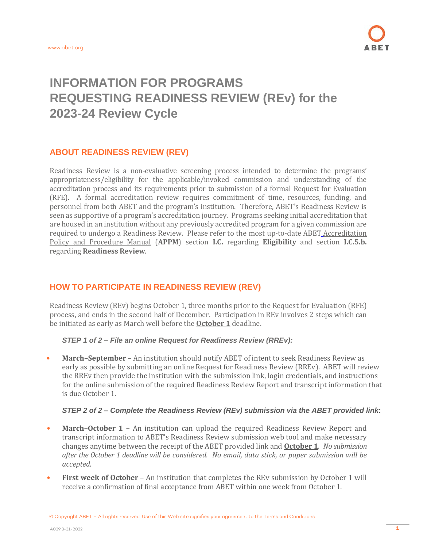# **INFORMATION FOR PROGRAMS REQUESTING READINESS REVIEW (REv) for the 2023-24 Review Cycle**

# **ABOUT READINESS REVIEW (REV)**

Readiness Review is a non-evaluative screening process intended to determine the programs' appropriateness/eligibility for the applicable/invoked commission and understanding of the accreditation process and its requirements prior to submission of a formal Request for Evaluation (RFE). A formal accreditation review requires commitment of time, resources, funding, and personnel from both ABET and the program's institution. Therefore, ABET's Readiness Review is seen as supportive of a program's accreditation journey. Programs seeking initial accreditation that are housed in an institution without any previously accredited program for a given commission are required to undergo a Readiness Review. Please refer to the most up-to-date ABET [Accreditation](http://www.abet.org/accreditation-criteria-policies-documents/) Policy and [Procedure](http://www.abet.org/accreditation-criteria-policies-documents/) Manual (**APPM**) section **I.C.** regarding **Eligibility** and section **I.C.5.b.** regarding **Readiness Review**.

# **HOW TO PARTICIPATE IN READINESS REVIEW (REV)**

Readiness Review (REv) begins October 1, three months prior to the Request for Evaluation (RFE) process, and ends in the second half of December. Participation in REv involves 2 steps which can be initiated as early as March well before the **October 1** deadline.

*STEP 1 of 2 – File an online Request for Readiness Review (RREv):*

• **March–September** – An institution should notify ABET of intent to seek Readiness Review as early as possible by submitting an onlin[e Request for Readiness Review \(RREv\).](http://ams2.abet.org/readinessreview/) ABET will review the RREv then provide the institution with the submission link, login credentials, and instructions for the online submission of the required Readiness Review Report and transcript information that is due October 1.

#### *STEP 2 of 2 – Complete the Readiness Review (REv) submission via the ABET provided link***:**

- **March–October 1 –** An institution can upload the required Readiness Review Report and transcript information to ABET's Readiness Review submission web tool and make necessary changes anytime between the receipt of the ABET provided link and **October 1**. *No submission after the October 1 deadline will be considered. No email, data stick, or paper submission will be accepted*.
- **First week of October** An institution that completes the REv submission by October 1 will receive a confirmation of final acceptance from ABET within one week from October 1.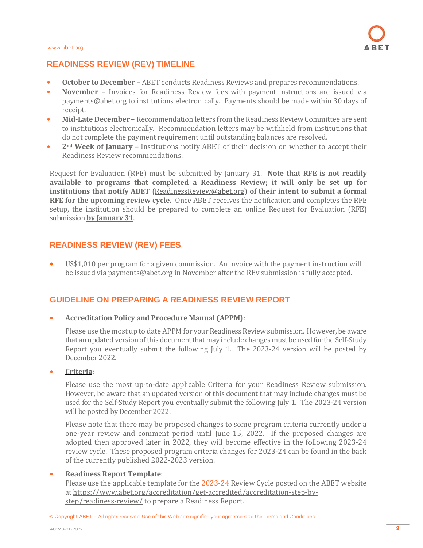

# **READINESS REVIEW (REV) TIMELINE**

- **October to December –** ABET conducts Readiness Reviews and prepares recommendations.
- **November** Invoices for Readiness Review fees with payment instructions are issued via [payments@abet.org](mailto:payments@abet.org) to institutions electronically. Payments should be made within 30 days of receipt.
- **Mid-Late December** Recommendation letters from the Readiness Review Committee are sent to institutions electronically. Recommendation letters may be withheld from institutions that do not complete the payment requirement until outstanding balances are resolved.
- **2nd Week of January**  Institutions notify ABET of their decision on whether to accept their Readiness Review recommendations.

Request for Evaluation (RFE) must be submitted by January 31. **Note that RFE is not readily available to programs that completed a Readiness Review; it will only be set up for institutions that notify ABET** [\(ReadinessReview@abet.org\)](mailto:ReadinessReview@abet.org) **of their intent to submit a formal RFE for the upcoming review cycle.** Once ABET receives the notification and completes the RFE setup, the institution should be prepared to complete an online Request for Evaluation (RFE) submission **by January 31**.

# **READINESS REVIEW (REV) FEES**

• US\$1,010 per program for a given commission. An invoice with the payment instruction will be issued vi[a payments@abet.org](mailto:payments@abet.org) in November after the REv submission is fully accepted.

# **GUIDELINE ON PREPARING A READINESS REVIEW REPORT**

#### • **Accreditation Policy and Procedure Manual (APPM)**:

Please use the most up to date APPM for your Readiness Review submission. However, be aware that an updated version of this document that may include changes must be used for the Self-Study Report you eventually submit the following July 1. The 2023-24 version will be posted by December 2022.

#### • **Criteria**:

Please use the most up-to-date applicable Criteria for your Readiness Review submission. However, be aware that an updated version of this document that may include changes must be used for the Self-Study Report you eventually submit the following July 1. The 2023-24 version will be posted by December 2022.

Please note that there may be proposed changes to some program criteria currently under a one-year review and comment period until June 15, 2022. If the proposed changes are adopted then approved later in 2022, they will become effective in the following 2023-24 review cycle. These proposed program criteria changes for 2023-24 can be found in the back of the currently published 2022-2023 version.

#### • **Readiness Report Template**:

Please use the applicable template for the 2023-24 Review Cycle posted on the ABET website at [https://www.abet.org/accreditation/get-accredited/accreditation-step-by](https://www.abet.org/accreditation/get-accredited/accreditation-step-by-step/readiness-review/)[step/readiness-review/](https://www.abet.org/accreditation/get-accredited/accreditation-step-by-step/readiness-review/) to prepare a Readiness Report.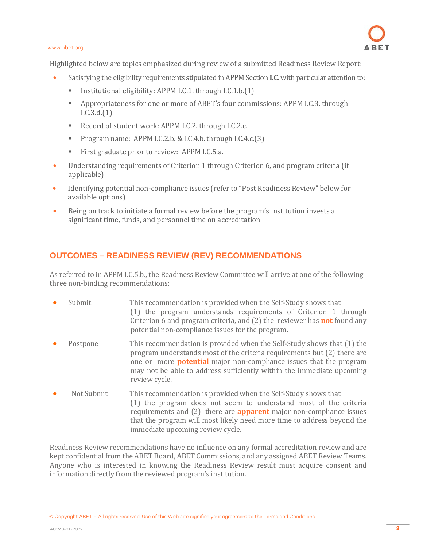#### [www.abet.org](http://www.abet.org/)

Highlighted below are topics emphasized during review of a submitted Readiness Review Report:

- Satisfying the eligibility requirements stipulated in APPM Section **I.C.** with particular attention to:
	- **Institutional eligibility: APPM I.C.1. through I.C.1.b.(1)**
	- Appropriateness for one or more of ABET's four commissions: APPM I.C.3. through I.C.3.d.(1)
	- Record of student work: APPM I.C.2. through I.C.2.c.
	- Program name: APPM I.C.2.b. & I.C.4.b. through I.C.4.c.(3)
	- First graduate prior to review: APPM I.C.5.a.
- Understanding requirements of Criterion 1 through Criterion 6, and program criteria (if applicable)
- Identifying potential non-compliance issues (refer to "Post Readiness Review" below for available options)
- Being on track to initiate a formal review before the program's institution invests a significant time, funds, and personnel time on accreditation

# **OUTCOMES – READINESS REVIEW (REV) RECOMMENDATIONS**

As referred to in APPM I.C.5.b., the Readiness Review Committee will arrive at one of the following three non-binding recommendations:

- Submit This recommendation is provided when the Self-Study shows that (1) the program understands requirements of Criterion 1 through Criterion 6 and program criteria, and (2) the reviewer has **not** found any potential non-compliance issues for the program. • Postpone This recommendation is provided when the Self-Study shows that (1) the
- program understands most of the criteria requirements but (2) there are one or more **potential** major non-compliance issues that the program may not be able to address sufficiently within the immediate upcoming review cycle.
- Not Submit This recommendation is provided when the Self-Study shows that (1) the program does not seem to understand most of the criteria requirements and (2) there are **apparent** major non-compliance issues that the program will most likely need more time to address beyond the immediate upcoming review cycle.

Readiness Review recommendations have no influence on any formal accreditation review and are kept confidential from the ABET Board, ABET Commissions, and any assigned ABET Review Teams. Anyone who is interested in knowing the Readiness Review result must acquire consent and information directly from the reviewed program's institution.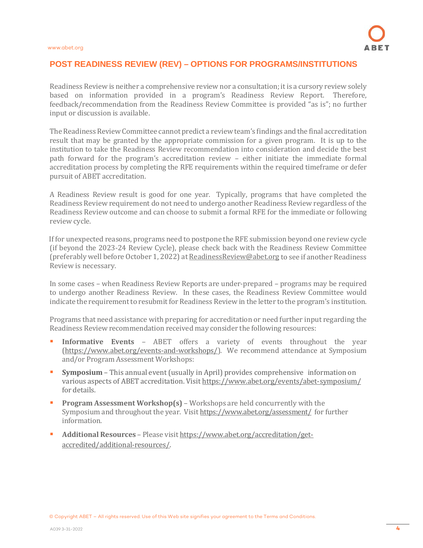### **POST READINESS REVIEW (REV) – OPTIONS FOR PROGRAMS/INSTITUTIONS**

Readiness Review is neither a comprehensive review nor a consultation; itis a cursory review solely based on information provided in a program's Readiness Review Report. Therefore, feedback/recommendation from the Readiness Review Committee is provided "as is"; no further input or discussion is available.

The Readiness Review Committee cannot predict a review team's findings and the final accreditation result that may be granted by the appropriate commission for a given program. It is up to the institution to take the Readiness Review recommendation into consideration and decide the best path forward for the program's accreditation review – either initiate the immediate formal accreditation process by completing the RFE requirements within the required timeframe or defer pursuit of ABET accreditation.

A Readiness Review result is good for one year. Typically, programs that have completed the Readiness Review requirement do not need to undergo another Readiness Review regardless of the Readiness Review outcome and can choose to submit a formal RFE for the immediate or following review cycle.

If for unexpected reasons, programs need to postpone the RFE submission beyond one review cycle (if beyond the 2023-24 Review Cycle), please check back with the Readiness Review Committee (preferably well before October 1, 2022) at [ReadinessReview@abet.org](mailto:ReadinessReview@abet.org) to see if another Readiness Review is necessary.

In some cases – when Readiness Review Reports are under-prepared – programs may be required to undergo another Readiness Review. In these cases, the Readiness Review Committee would indicate the requirement to resubmit for Readiness Review in the letter to the program's institution.

Programs that need assistance with preparing for accreditation or need further input regarding the Readiness Review recommendation received may consider the following resources:

- **Informative Events** ABET offers a variety of events throughout the year [\(https://www.abet.org/events-and-workshops/\)](https://www.abet.org/events-and-workshops/). We recommend attendance at Symposium and/or Program Assessment Workshops:
- **Symposium** This annual event (usually in April) provides comprehensive information on various aspects of ABET accreditation. Visit <https://www.abet.org/events/abet-symposium/> for details.
- **Program Assessment Workshop(s)** Workshops are held concurrently with the Symposium and throughout the year. Visit <https://www.abet.org/assessment/> for further information.
- **Additional Resources** Please visit [https://www.abet.org/accreditation/get](https://www.abet.org/accreditation/get-accredited/additional-resources/)[accredited/additional-resources/.](https://www.abet.org/accreditation/get-accredited/additional-resources/)